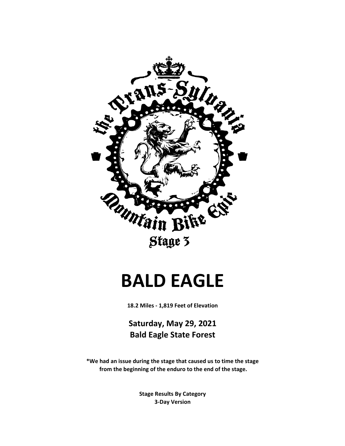

#### **BALD EAGLE**

**18.2 Miles - 1,819 Feet of Elevation**

**Saturday, May 29, 2021 Bald Eagle State Forest**

**\*We had an issue during the stage that caused us to time the stage from the beginning of the enduro to the end of the stage.**

> **3-Day Version Stage Results By Category**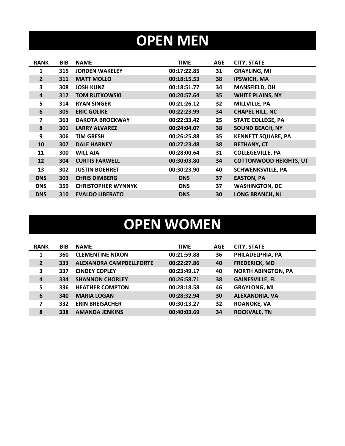## **OPEN MEN**

| <b>RANK</b>    | <b>BIB</b> | <b>NAME</b>               | <b>TIME</b> | <b>AGE</b> | <b>CITY, STATE</b>            |
|----------------|------------|---------------------------|-------------|------------|-------------------------------|
| 1              | 315        | <b>JORDEN WAKELEY</b>     | 00:17:22.85 | 31         | <b>GRAYLING, MI</b>           |
| $\overline{2}$ | 311        | <b>MATT MOLLO</b>         | 00:18:15.53 | 38         | <b>IPSWICH, MA</b>            |
| 3              | 308        | <b>JOSH KUNZ</b>          | 00:18:51.77 | 34         | <b>MANSFIELD, OH</b>          |
| 4              | 312        | <b>TOM RUTKOWSKI</b>      | 00:20:57.64 | 35         | <b>WHITE PLAINS, NY</b>       |
| 5              | 314        | <b>RYAN SINGER</b>        | 00:21:26.12 | 32         | MILLVILLE, PA                 |
| 6              | 305        | <b>ERIC GOLIKE</b>        | 00:22:23.99 | 34         | <b>CHAPEL HILL, NC</b>        |
| 7              | 363        | <b>DAKOTA BROCKWAY</b>    | 00:22:33.42 | 25         | <b>STATE COLLEGE, PA</b>      |
| 8              | 301        | <b>LARRY ALVAREZ</b>      | 00:24:04.07 | 38         | <b>SOUND BEACH, NY</b>        |
| 9              | 306        | <b>TIM GRESH</b>          | 00:26:25.88 | 35         | <b>KENNETT SQUARE, PA</b>     |
| 10             | 307        | <b>DALE HARNEY</b>        | 00:27:23.48 | 38         | <b>BETHANY, CT</b>            |
| 11             | 300        | <b>WILL AJA</b>           | 00:28:00.64 | 31         | <b>COLLEGEVILLE, PA</b>       |
| 12             | 304        | <b>CURTIS FARWELL</b>     | 00:30:03.80 | 34         | <b>COTTONWOOD HEIGHTS, UT</b> |
| 13             | 302        | <b>JUSTIN BOEHRET</b>     | 00:30:23.90 | 40         | <b>SCHWENKSVILLE, PA</b>      |
| <b>DNS</b>     | 303        | <b>CHRIS DIMBERG</b>      | <b>DNS</b>  | 37         | <b>EASTON, PA</b>             |
| <b>DNS</b>     | 359        | <b>CHRISTOPHER WYNNYK</b> | <b>DNS</b>  | 37         | <b>WASHINGTON, DC</b>         |
| <b>DNS</b>     | 310        | <b>EVALDO LIBERATO</b>    | <b>DNS</b>  | 30         | <b>LONG BRANCH, NJ</b>        |

## **OPEN WOMEN**

| <b>RANK</b>    | <b>BIB</b> | <b>NAME</b>                    | <b>TIME</b> | <b>AGE</b> | <b>CITY, STATE</b>        |
|----------------|------------|--------------------------------|-------------|------------|---------------------------|
| $\mathbf{1}$   | 360        | <b>CLEMENTINE NIXON</b>        | 00:21:59.88 | 36         | PHILADELPHIA, PA          |
| $\overline{2}$ | 333        | <b>ALEXANDRA CAMPBELLFORTE</b> | 00:22:27.86 | 40         | <b>FREDERICK, MD</b>      |
| 3              | 337        | <b>CINDEY COPLEY</b>           | 00:23:49.17 | 40         | <b>NORTH ABINGTON, PA</b> |
| $\overline{a}$ | 334        | <b>SHANNON CHORLEY</b>         | 00:26:58.71 | 38         | <b>GAINESVILLE, FL</b>    |
| 5              | 336        | <b>HEATHER COMPTON</b>         | 00:28:18.58 | 46         | <b>GRAYLONG, MI</b>       |
| 6              | 340        | <b>MARIA LOGAN</b>             | 00:28:32.94 | 30         | <b>ALEXANDRIA, VA</b>     |
| 7              | 332        | <b>ERIN BREISACHER</b>         | 00:30:13.27 | 32         | <b>ROANOKE, VA</b>        |
| 8              | 338        | <b>AMANDA JENKINS</b>          | 00:40:03.69 | 34         | <b>ROCKVALE, TN</b>       |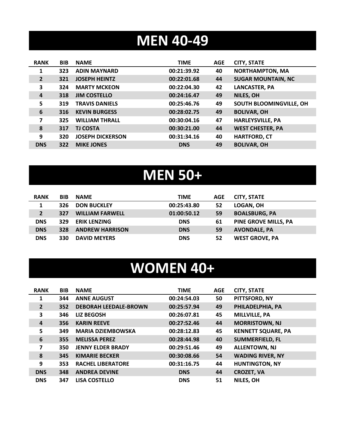## **MEN 40-49**

| <b>SUGAR MOUNTAIN, NC</b> |
|---------------------------|
|                           |
|                           |
| SOUTH BLOOMINGVILLE, OH   |
|                           |
|                           |
|                           |
|                           |
|                           |
|                           |

# **MEN 50+**

| <b>RANK</b>    | <b>BIB</b> | <b>NAME</b>            | <b>TIME</b> | <b>AGE</b> | <b>CITY, STATE</b>          |
|----------------|------------|------------------------|-------------|------------|-----------------------------|
|                | 326        | <b>DON BUCKLEY</b>     | 00:25:43.80 | 52         | LOGAN, OH                   |
| $\overline{2}$ | 327        | <b>WILLIAM FARWELL</b> | 01:00:50.12 | 59         | <b>BOALSBURG, PA</b>        |
| <b>DNS</b>     | 329        | <b>ERIK LENZING</b>    | <b>DNS</b>  | 61         | <b>PINE GROVE MILLS, PA</b> |
| <b>DNS</b>     | 328        | <b>ANDREW HARRISON</b> | <b>DNS</b>  | 59         | <b>AVONDALE, PA</b>         |
| <b>DNS</b>     | 330        | <b>DAVID MEYERS</b>    | <b>DNS</b>  | 52         | <b>WEST GROVE, PA</b>       |

#### **WOMEN 40+**

| <b>RANK</b>    | <b>BIB</b> | <b>NAME</b>                  | <b>TIME</b> | <b>AGE</b> | <b>CITY, STATE</b>        |
|----------------|------------|------------------------------|-------------|------------|---------------------------|
| 1              | 344        | <b>ANNE AUGUST</b>           | 00:24:54.03 | 50         | PITTSFORD, NY             |
| $\overline{2}$ | 352        | <b>DEBORAH LEEDALE-BROWN</b> | 00:25:57.94 | 49         | PHILADELPHIA, PA          |
| 3              | 346        | <b>LIZ BEGOSH</b>            | 00:26:07.81 | 45         | <b>MILLVILLE, PA</b>      |
| 4              | 356        | <b>KARIN REEVE</b>           | 00:27:52.46 | 44         | <b>MORRISTOWN, NJ</b>     |
| 5              | 349        | <b>MARIA DZIEMBOWSKA</b>     | 00:28:12.83 | 45         | <b>KENNETT SQUARE, PA</b> |
| 6              | 355        | <b>MELISSA PEREZ</b>         | 00:28:44.98 | 40         | <b>SUMMERFIELD, FL</b>    |
| 7              | 350        | <b>JENNY ELDER BRADY</b>     | 00:29:51.46 | 49         | <b>ALLENTOWN, NJ</b>      |
| 8              | 345        | <b>KIMARIE BECKER</b>        | 00:30:08.66 | 54         | <b>WADING RIVER, NY</b>   |
| 9              | 353        | <b>RACHEL LIBERATORE</b>     | 00:31:16.75 | 44         | <b>HUNTINGTON, NY</b>     |
| <b>DNS</b>     | 348        | <b>ANDREA DEVINE</b>         | <b>DNS</b>  | 44         | <b>CROZET, VA</b>         |
| <b>DNS</b>     | 347        | <b>LISA COSTELLO</b>         | <b>DNS</b>  | 51         | NILES, OH                 |